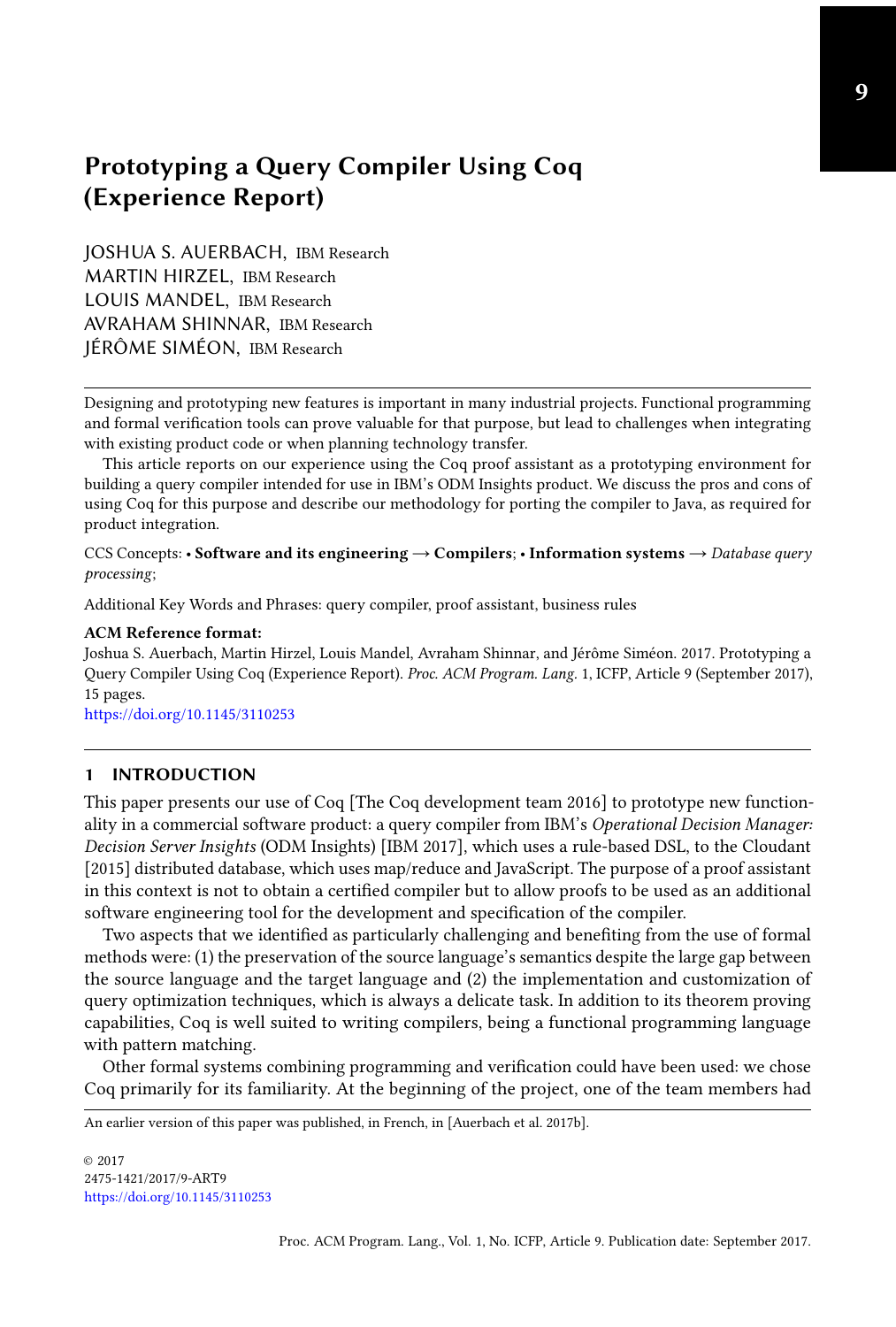# Prototyping a Query Compiler Using Coq (Experience Report)

JOSHUA S. AUERBACH, IBM Research MARTIN HIRZEL, IBM Research LOUIS MANDEL, IBM Research AVRAHAM SHINNAR, IBM Research JÉRÔME SIMÉON, IBM Research

Designing and prototyping new features is important in many industrial projects. Functional programming and formal verification tools can prove valuable for that purpose, but lead to challenges when integrating with existing product code or when planning technology transfer.

This article reports on our experience using the Coq proof assistant as a prototyping environment for building a query compiler intended for use in IBM's ODM Insights product. We discuss the pros and cons of using Coq for this purpose and describe our methodology for porting the compiler to Java, as required for product integration.

CCS Concepts: • Software and its engineering  $\rightarrow$  Compilers; • Information systems  $\rightarrow$  Database query processing;

Additional Key Words and Phrases: query compiler, proof assistant, business rules

#### ACM Reference format:

Joshua S. Auerbach, Martin Hirzel, Louis Mandel, Avraham Shinnar, and Jérôme Siméon. 2017. Prototyping a Query Compiler Using Coq (Experience Report). Proc. ACM Program. Lang. 1, ICFP, Article 9 (September 2017), [15](#page-14-0) pages.

<https://doi.org/10.1145/3110253>

#### 1 INTRODUCTION

This paper presents our use of Coq [\[The Coq development team](#page-14-1) [2016\]](#page-14-1) to prototype new functionality in a commercial software product: a query compiler from IBM's Operational Decision Manager: Decision Server Insights (ODM Insights) [\[IBM](#page-14-2) [2017\]](#page-14-2), which uses a rule-based DSL, to the [Cloudant](#page-14-3) [\[2015\]](#page-14-3) distributed database, which uses map/reduce and JavaScript. The purpose of a proof assistant in this context is not to obtain a certified compiler but to allow proofs to be used as an additional software engineering tool for the development and specification of the compiler.

Two aspects that we identified as particularly challenging and benefiting from the use of formal methods were: (1) the preservation of the source language's semantics despite the large gap between the source language and the target language and (2) the implementation and customization of query optimization techniques, which is always a delicate task. In addition to its theorem proving capabilities, Coq is well suited to writing compilers, being a functional programming language with pattern matching.

Other formal systems combining programming and verification could have been used: we chose Coq primarily for its familiarity. At the beginning of the project, one of the team members had

An earlier version of this paper was published, in French, in [\[Auerbach et al.](#page-13-0) [2017b\]](#page-13-0).

© 2017 2475-1421/2017/9-ART9 <https://doi.org/10.1145/3110253>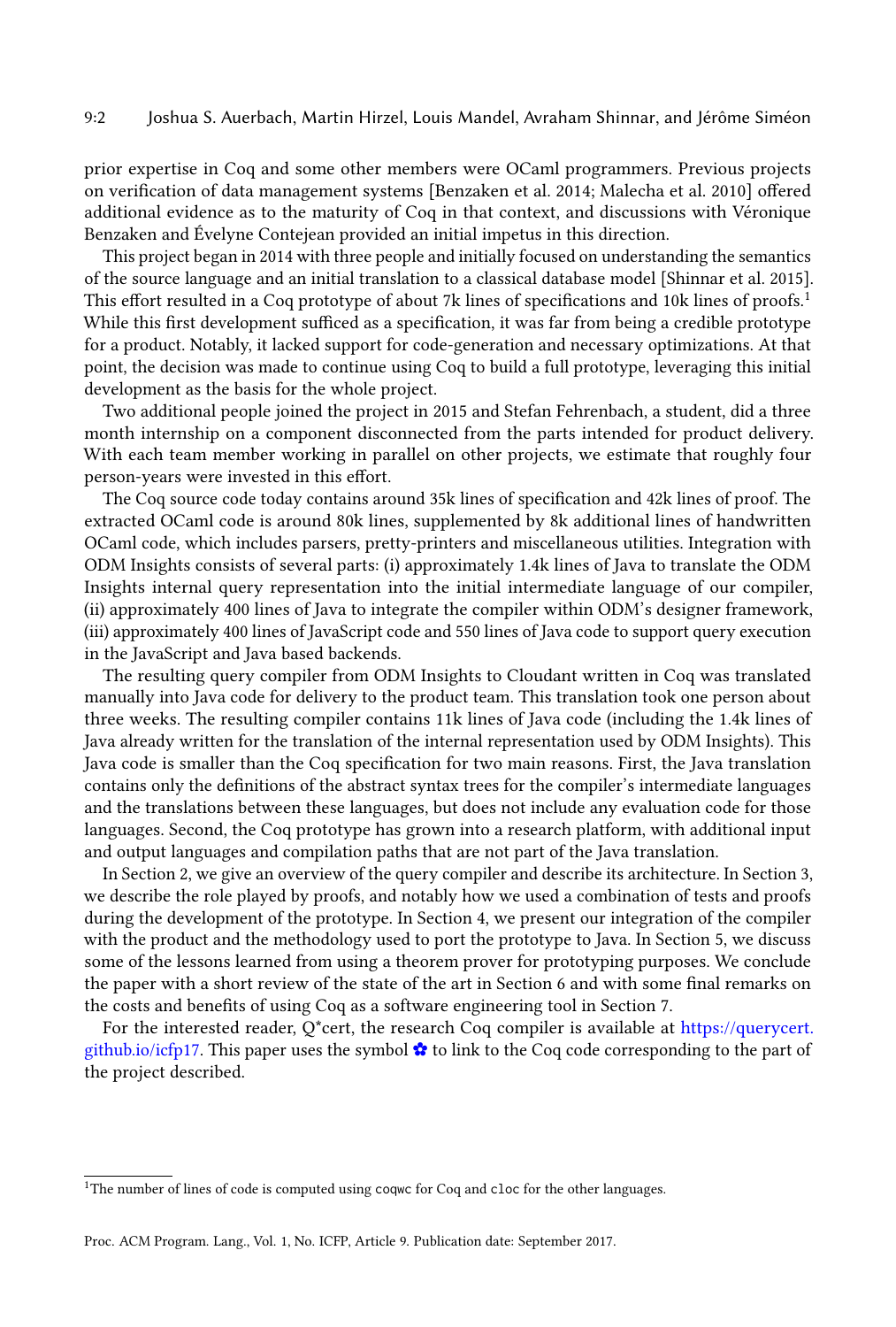#### 9:2 Joshua S. Auerbach, Martin Hirzel, Louis Mandel, Avraham Shinnar, and Jérôme Siméon

prior expertise in Coq and some other members were OCaml programmers. Previous projects on verification of data management systems [\[Benzaken et al.](#page-13-1) [2014;](#page-13-1) [Malecha et al.](#page-14-4) [2010\]](#page-14-4) offered additional evidence as to the maturity of Coq in that context, and discussions with Véronique Benzaken and Évelyne Contejean provided an initial impetus in this direction.

This project began in 2014 with three people and initially focused on understanding the semantics of the source language and an initial translation to a classical database model [\[Shinnar et al.](#page-14-5) [2015\]](#page-14-5). This effort resulted in a Coq prototype of about 7k lines of specifications and [1](#page-1-0)0k lines of proofs.<sup>1</sup> While this first development sufficed as a specification, it was far from being a credible prototype for a product. Notably, it lacked support for code-generation and necessary optimizations. At that point, the decision was made to continue using Coq to build a full prototype, leveraging this initial development as the basis for the whole project.

Two additional people joined the project in 2015 and Stefan Fehrenbach, a student, did a three month internship on a component disconnected from the parts intended for product delivery. With each team member working in parallel on other projects, we estimate that roughly four person-years were invested in this effort.

The Coq source code today contains around 35k lines of specification and 42k lines of proof. The extracted OCaml code is around 80k lines, supplemented by 8k additional lines of handwritten OCaml code, which includes parsers, pretty-printers and miscellaneous utilities. Integration with ODM Insights consists of several parts: (i) approximately 1.4k lines of Java to translate the ODM Insights internal query representation into the initial intermediate language of our compiler, (ii) approximately 400 lines of Java to integrate the compiler within ODM's designer framework, (iii) approximately 400 lines of JavaScript code and 550 lines of Java code to support query execution in the JavaScript and Java based backends.

The resulting query compiler from ODM Insights to Cloudant written in Coq was translated manually into Java code for delivery to the product team. This translation took one person about three weeks. The resulting compiler contains 11k lines of Java code (including the 1.4k lines of Java already written for the translation of the internal representation used by ODM Insights). This Java code is smaller than the Coq specification for two main reasons. First, the Java translation contains only the definitions of the abstract syntax trees for the compiler's intermediate languages and the translations between these languages, but does not include any evaluation code for those languages. Second, the Coq prototype has grown into a research platform, with additional input and output languages and compilation paths that are not part of the Java translation.

In Section [2,](#page-2-0) we give an overview of the query compiler and describe its architecture. In Section [3,](#page-5-0) we describe the role played by proofs, and notably how we used a combination of tests and proofs during the development of the prototype. In Section [4,](#page-8-0) we present our integration of the compiler with the product and the methodology used to port the prototype to Java. In Section [5,](#page-10-0) we discuss some of the lessons learned from using a theorem prover for prototyping purposes. We conclude the paper with a short review of the state of the art in Section [6](#page-12-0) and with some final remarks on the costs and benefits of using Coq as a software engineering tool in Section [7.](#page-13-2)

For the interested reader, Q\*cert, the research Coq compiler is available at [https://querycert.](https://querycert.github.io/icfp17) [github.io/icfp17.](https://querycert.github.io/icfp17) This paper uses the symbol  $\bullet$  to link to the Coq code corresponding to the part of the project described.

<span id="page-1-0"></span><sup>&</sup>lt;sup>1</sup>The number of lines of code is computed using coqwc for Coq and cloc for the other languages.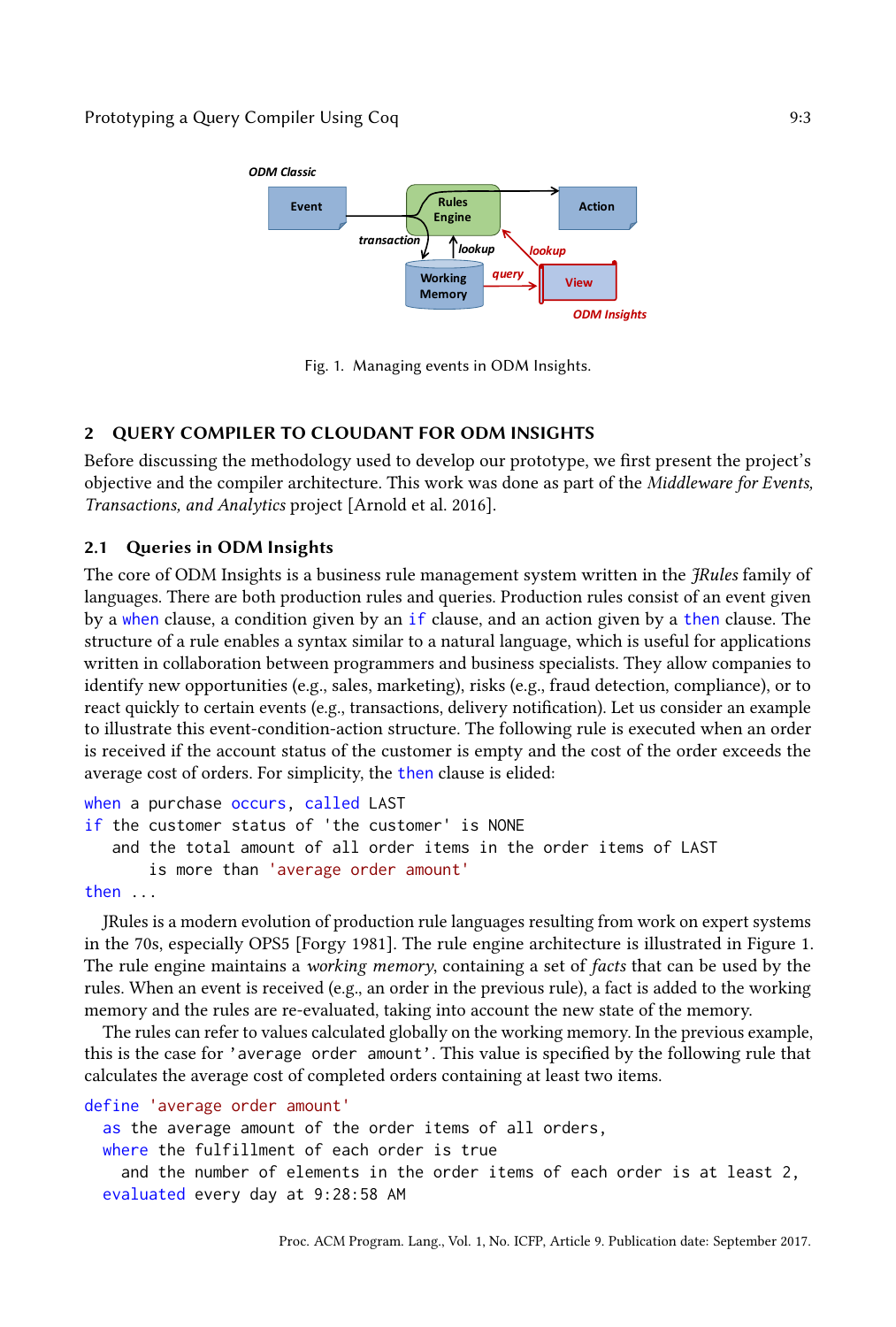<span id="page-2-1"></span>

Fig. 1. Managing events in ODM Insights.

## <span id="page-2-0"></span>2 QUERY COMPILER TO CLOUDANT FOR ODM INSIGHTS

Before discussing the methodology used to develop our prototype, we first present the project's objective and the compiler architecture. This work was done as part of the Middleware for Events, Transactions, and Analytics project [\[Arnold et al.](#page-13-3) [2016\]](#page-13-3).

## 2.1 Queries in ODM Insights

The core of ODM Insights is a business rule management system written in the *FRules* family of languages. There are both production rules and queries. Production rules consist of an event given by a when clause, a condition given by an if clause, and an action given by a then clause. The structure of a rule enables a syntax similar to a natural language, which is useful for applications written in collaboration between programmers and business specialists. They allow companies to identify new opportunities (e.g., sales, marketing), risks (e.g., fraud detection, compliance), or to react quickly to certain events (e.g., transactions, delivery notification). Let us consider an example to illustrate this event-condition-action structure. The following rule is executed when an order is received if the account status of the customer is empty and the cost of the order exceeds the average cost of orders. For simplicity, the then clause is elided:

```
when a purchase occurs, called LAST
if the customer status of 'the customer' is NONE
   and the total amount of all order items in the order items of LAST
       is more than 'average order amount'
```
then ...

JRules is a modern evolution of production rule languages resulting from work on expert systems in the 70s, especially OPS5 [\[Forgy](#page-14-6) [1981\]](#page-14-6). The rule engine architecture is illustrated in Figure [1.](#page-2-1) The rule engine maintains a *working memory*, containing a set of facts that can be used by the rules. When an event is received (e.g., an order in the previous rule), a fact is added to the working memory and the rules are re-evaluated, taking into account the new state of the memory.

The rules can refer to values calculated globally on the working memory. In the previous example, this is the case for 'average order amount'. This value is specified by the following rule that calculates the average cost of completed orders containing at least two items.

```
define 'average order amount'
```

```
as the average amount of the order items of all orders,
where the fulfillment of each order is true
  and the number of elements in the order items of each order is at least 2,
evaluated every day at 9:28:58 AM
```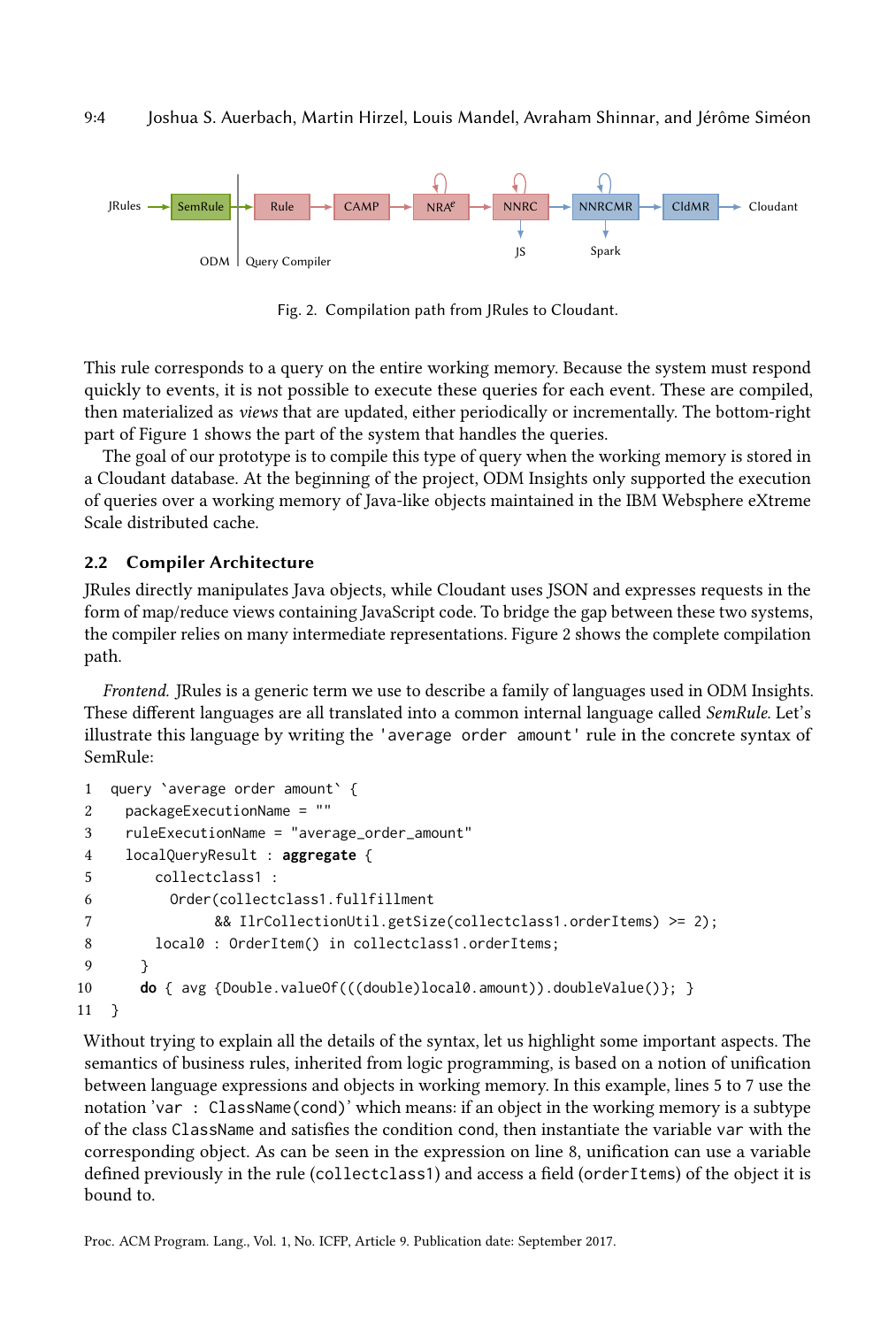<span id="page-3-0"></span>

Fig. 2. Compilation path from JRules to Cloudant.

This rule corresponds to a query on the entire working memory. Because the system must respond quickly to events, it is not possible to execute these queries for each event. These are compiled, then materialized as views that are updated, either periodically or incrementally. The bottom-right part of Figure [1](#page-2-1) shows the part of the system that handles the queries.

The goal of our prototype is to compile this type of query when the working memory is stored in a Cloudant database. At the beginning of the project, ODM Insights only supported the execution of queries over a working memory of Java-like objects maintained in the IBM Websphere eXtreme Scale distributed cache.

### 2.2 Compiler Architecture

JRules directly manipulates Java objects, while Cloudant uses JSON and expresses requests in the form of map/reduce views containing JavaScript code. To bridge the gap between these two systems, the compiler relies on many intermediate representations. Figure [2](#page-3-0) shows the complete compilation path.

Frontend. JRules is a generic term we use to describe a family of languages used in ODM Insights. These different languages are all translated into a common internal language called SemRule. Let's illustrate this language by writing the 'average order amount' rule in the concrete syntax of SemRule:

```
1 query `average order amount` {
2 packageExecutionName = ""
3 ruleExecutionName = "average_order_amount"
4 localQueryResult : aggregate {
5 collectclass1 :
6 Order(collectclass1.fullfillment
7 && IlrCollectionUtil.getSize(collectclass1.orderItems) >= 2);
8 local0 : OrderItem() in collectclass1.orderItems;
9 }
10 do { avg {Double.valueOf(((double)local0.amount)).doubleValue()}; }
11 }
```
Without trying to explain all the details of the syntax, let us highlight some important aspects. The semantics of business rules, inherited from logic programming, is based on a notion of unification between language expressions and objects in working memory. In this example, lines 5 to 7 use the notation 'var : ClassName(cond)' which means: if an object in the working memory is a subtype of the class ClassName and satisfies the condition cond, then instantiate the variable var with the corresponding object. As can be seen in the expression on line 8, unification can use a variable defined previously in the rule (collectclass1) and access a field (orderItems) of the object it is bound to.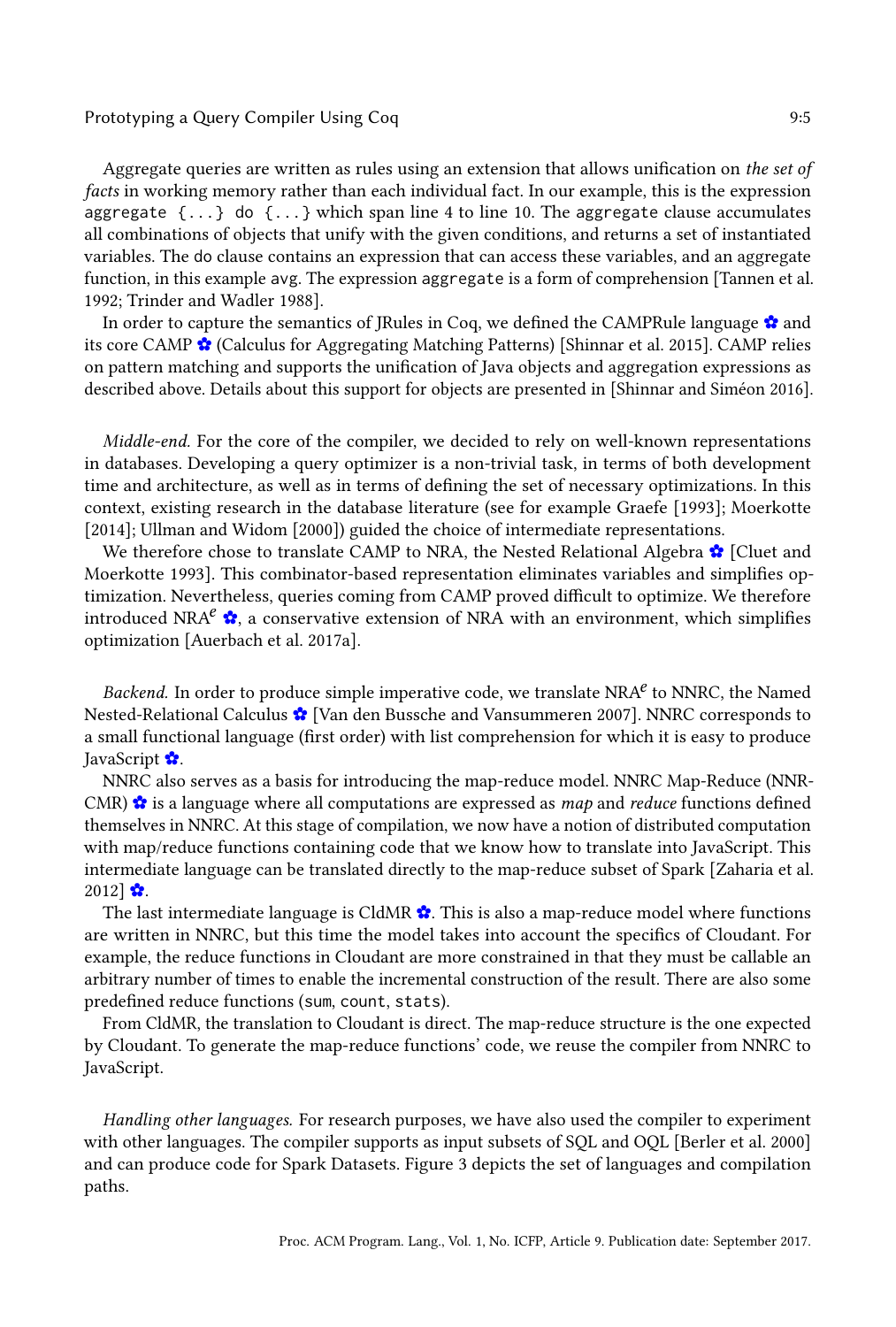#### Prototyping a Query Compiler Using Coq **9:5** and the prototyping a Second 1.9 and 1.9 and 1.9 and 1.9 and 1.9 and 1.9 and 1.9 and 1.9 and 1.9 and 1.9 and 1.9 and 1.9 and 1.9 and 1.9 and 1.9 and 1.9 and 1.9 and 1.9 and 1.9

Aggregate queries are written as rules using an extension that allows unification on the set of

facts in working memory rather than each individual fact. In our example, this is the expression aggregate  $\{\ldots\}$  do  $\{\ldots\}$  which span line 4 to line 10. The aggregate clause accumulates all combinations of objects that unify with the given conditions, and returns a set of instantiated variables. The do clause contains an expression that can access these variables, and an aggregate function, in this example avg. The expression aggregate is a form of comprehension [\[Tannen et al.](#page-14-7) [1992;](#page-14-7) [Trinder and Wadler](#page-14-8) [1988\]](#page-14-8).

In order to capture the semantics of JRules in Coq, we defined the CAMPRule language [✿](https://querycert.github.io/icfp17/doc/CAMPRule.html#camp_rule) and its core CAMP [✿](https://querycert.github.io/icfp17/doc/CAMP.html#camp) (Calculus for Aggregating Matching Patterns) [\[Shinnar et al.](#page-14-5) [2015\]](#page-14-5). CAMP relies on pattern matching and supports the unification of Java objects and aggregation expressions as described above. Details about this support for objects are presented in [\[Shinnar and Siméon](#page-14-9) [2016\]](#page-14-9).

Middle-end. For the core of the compiler, we decided to rely on well-known representations in databases. Developing a query optimizer is a non-trivial task, in terms of both development time and architecture, as well as in terms of defining the set of necessary optimizations. In this context, existing research in the database literature (see for example [Graefe](#page-14-10) [\[1993\]](#page-14-10); [Moerkotte](#page-14-11) [\[2014\]](#page-14-11); [Ullman and Widom](#page-14-12) [\[2000\]](#page-14-12)) guided the choice of intermediate representations.

We therefore chose to translate CAMP to NRA, the Nested Relational Algebra [✿](https://querycert.github.io/icfp17/doc/NRA.html#nra) [\[Cluet and](#page-14-13) [Moerkotte](#page-14-13) [1993\]](#page-14-13). This combinator-based representation eliminates variables and simplifies optimization. Nevertheless, queries coming from CAMP proved difficult to optimize. We therefore introduced NRA<sup>e</sup>  $\hat{\mathbf{x}}$ , a conservative extension of NRA with an environment, which simplifies optimization [\[Auerbach et al.](#page-13-4) [2017a\]](#page-13-4).

Backend. In order to produce simple imperative code, we translate  $NRA<sup>e</sup>$  to  $NNRC$ , the Named Nested-Relational Calculus [✿](https://querycert.github.io/icfp17/doc/cNNRC.html#nnrc) [\[Van den Bussche and Vansummeren](#page-14-14) [2007\]](#page-14-14). NNRC corresponds to a small functional language (first order) with list comprehension for which it is easy to produce JavaScript [✿](https://querycert.github.io/icfp17/doc/NNRCtoJavaScript.html#nnrc_to_js_top).

NNRC also serves as a basis for introducing the map-reduce model. NNRC Map-Reduce (NNR-CMR)  $\hat{\mathbf{x}}$  is a language where all computations are expressed as *map* and *reduce* functions defined themselves in NNRC. At this stage of compilation, we now have a notion of distributed computation with map/reduce functions containing code that we know how to translate into JavaScript. This intermediate language can be translated directly to the map-reduce subset of Spark [\[Zaharia et al.](#page-14-15)  $2012$   $\bullet$ .

The last intermediate language is CldMR  $\hat{\mathbf{x}}$ . This is also a map-reduce model where functions are written in NNRC, but this time the model takes into account the specifics of Cloudant. For example, the reduce functions in Cloudant are more constrained in that they must be callable an arbitrary number of times to enable the incremental construction of the result. There are also some predefined reduce functions (sum, count, stats).

From CldMR, the translation to Cloudant is direct. The map-reduce structure is the one expected by Cloudant. To generate the map-reduce functions' code, we reuse the compiler from NNRC to JavaScript.

Handling other languages. For research purposes, we have also used the compiler to experiment with other languages. The compiler supports as input subsets of SQL and OQL [\[Berler et al.](#page-13-5) [2000\]](#page-13-5) and can produce code for Spark Datasets. Figure [3](#page-5-1) depicts the set of languages and compilation paths.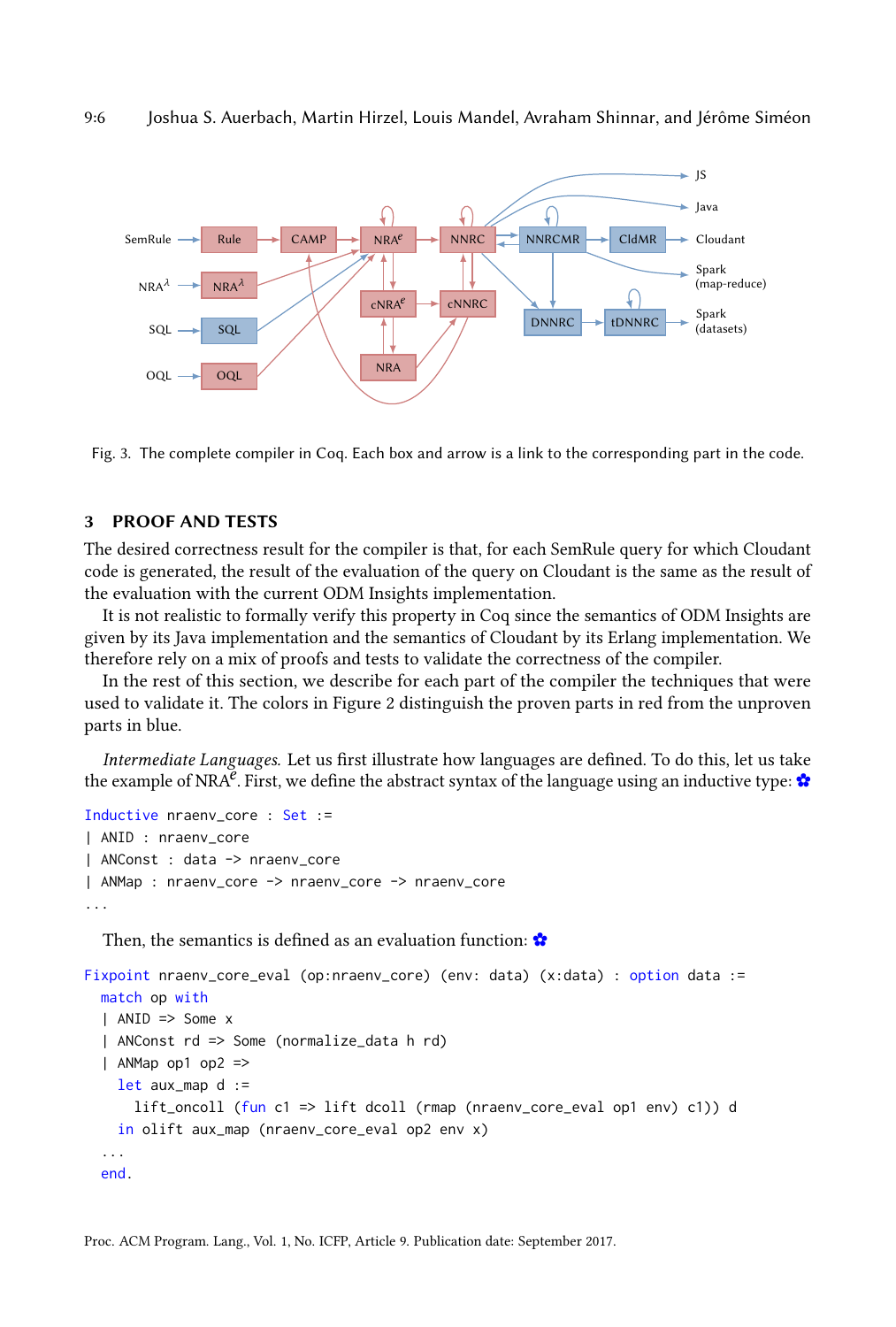<span id="page-5-1"></span>

Fig. 3. The complete compiler in Coq. Each box and arrow is a link to the corresponding part in the code.

#### <span id="page-5-0"></span>3 PROOF AND TESTS

The desired correctness result for the compiler is that, for each SemRule query for which Cloudant code is generated, the result of the evaluation of the query on Cloudant is the same as the result of the evaluation with the current ODM Insights implementation.

It is not realistic to formally verify this property in Coq since the semantics of ODM Insights are given by its Java implementation and the semantics of Cloudant by its Erlang implementation. We therefore rely on a mix of proofs and tests to validate the correctness of the compiler.

In the rest of this section, we describe for each part of the compiler the techniques that were used to validate it. The colors in Figure [2](#page-3-0) distinguish the proven parts in red from the unproven parts in blue.

Intermediate Languages. Let us first illustrate how languages are defined. To do this, let us take the example of NRA<sup>e</sup>. First, we define the abstract syntax of the language using an inductive type:

```
Inductive nraenv_core : Set :=
| ANID : nraenv_core
| ANConst : data -> nraenv_core
| ANMap : nraenv_core -> nraenv_core -> nraenv_core
...
```
Then, the semantics is defined as an evaluation function:  $\mathbf{\hat{P}}$ 

```
Fixpoint nraenv_core_eval (op:nraenv_core) (env: data) (x:data) : option data :=
  match op with
  | ANID => Some x
  | ANConst rd => Some (normalize_data h rd)
  | ANMap op1 op2 =>
    let aux_map d :=
      lift_oncoll (fun c1 => lift dcoll (rmap (nraenv_core_eval op1 env) c1)) d
    in olift aux_map (nraenv_core_eval op2 env x)
  ...
  end.
```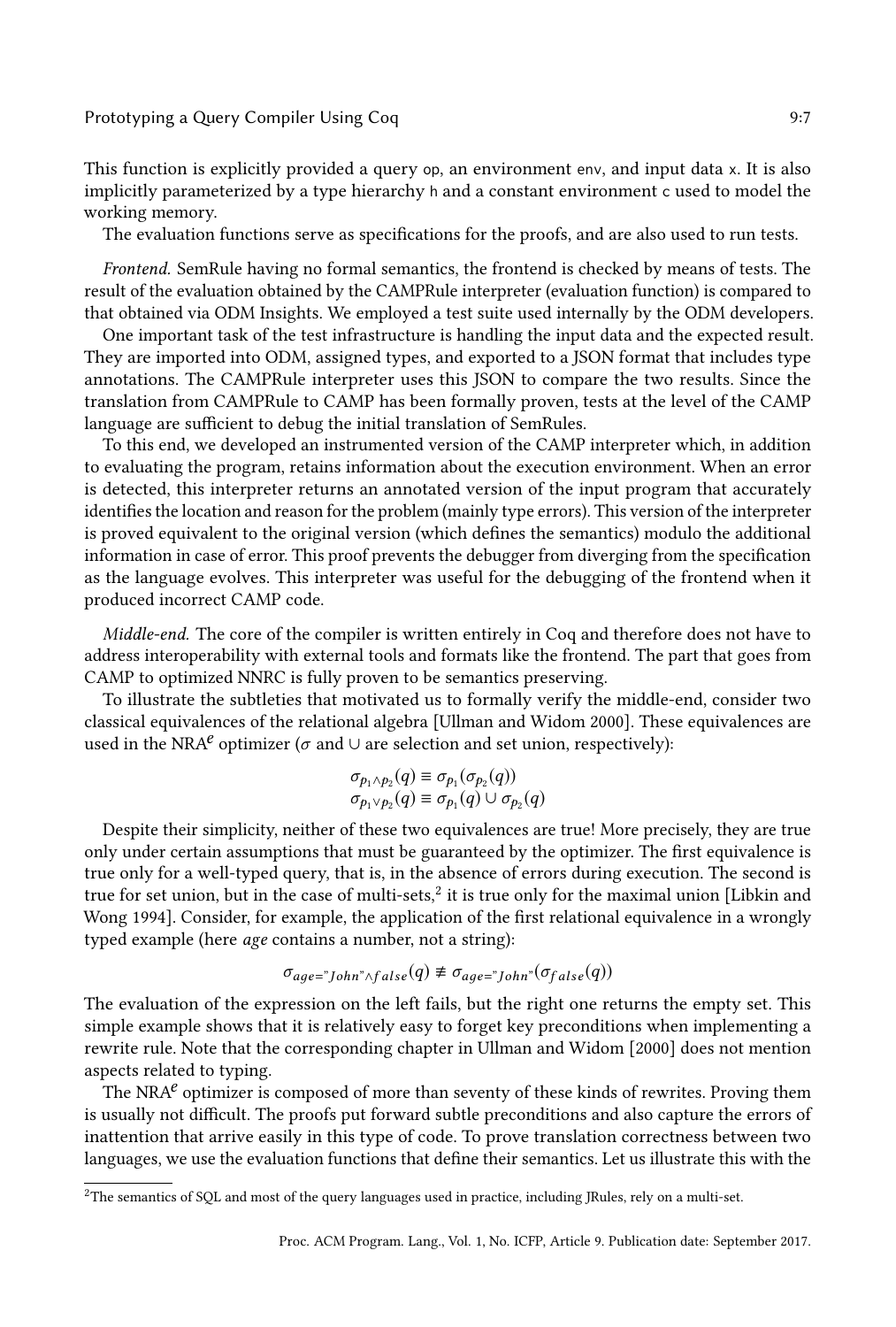#### Prototyping a Query Compiler Using Coq **9:7** and 19:2

This function is explicitly provided a query op, an environment env, and input data x. It is also implicitly parameterized by a type hierarchy h and a constant environment c used to model the working memory.

The evaluation functions serve as specifications for the proofs, and are also used to run tests.

Frontend. SemRule having no formal semantics, the frontend is checked by means of tests. The result of the evaluation obtained by the CAMPRule interpreter (evaluation function) is compared to that obtained via ODM Insights. We employed a test suite used internally by the ODM developers.

One important task of the test infrastructure is handling the input data and the expected result. They are imported into ODM, assigned types, and exported to a JSON format that includes type annotations. The CAMPRule interpreter uses this JSON to compare the two results. Since the translation from CAMPRule to CAMP has been formally proven, tests at the level of the CAMP language are sufficient to debug the initial translation of SemRules.

To this end, we developed an instrumented version of the CAMP interpreter which, in addition to evaluating the program, retains information about the execution environment. When an error is detected, this interpreter returns an annotated version of the input program that accurately identifies the location and reason for the problem (mainly type errors). This version of the interpreter is proved equivalent to the original version (which defines the semantics) modulo the additional information in case of error. This proof prevents the debugger from diverging from the specification as the language evolves. This interpreter was useful for the debugging of the frontend when it produced incorrect CAMP code.

Middle-end. The core of the compiler is written entirely in Coq and therefore does not have to address interoperability with external tools and formats like the frontend. The part that goes from CAMP to optimized NNRC is fully proven to be semantics preserving.

To illustrate the subtleties that motivated us to formally verify the middle-end, consider two classical equivalences of the relational algebra [\[Ullman and Widom](#page-14-12) [2000\]](#page-14-12). These equivalences are used in the NRA<sup> $e$ </sup> optimizer ( $\sigma$  and  $\cup$  are selection and set union, respectively):

$$
\sigma_{p_1 \wedge p_2}(q) \equiv \sigma_{p_1}(\sigma_{p_2}(q))
$$
  

$$
\sigma_{p_1 \vee p_2}(q) \equiv \sigma_{p_1}(q) \cup \sigma_{p_2}(q)
$$

Despite their simplicity, neither of these two equivalences are true! More precisely, they are true only under certain assumptions that must be guaranteed by the optimizer. The first equivalence is true only for a well-typed query, that is, in the absence of errors during execution. The second is true for set union, but in the case of multi-sets, $^2$  $^2$  it is true only for the maximal union [\[Libkin and](#page-14-16) [Wong](#page-14-16) [1994\]](#page-14-16). Consider, for example, the application of the first relational equivalence in a wrongly typed example (here age contains a number, not a string):

$$
\sigma_{age="John"\land false}(q) \not\equiv \sigma_{age="John"\land \sigma_{false}(q))
$$

The evaluation of the expression on the left fails, but the right one returns the empty set. This simple example shows that it is relatively easy to forget key preconditions when implementing a rewrite rule. Note that the corresponding chapter in [Ullman and Widom](#page-14-12) [\[2000\]](#page-14-12) does not mention aspects related to typing.

The NRA $^e$  optimizer is composed of more than seventy of these kinds of rewrites. Proving them is usually not difficult. The proofs put forward subtle preconditions and also capture the errors of inattention that arrive easily in this type of code. To prove translation correctness between two languages, we use the evaluation functions that define their semantics. Let us illustrate this with the

<span id="page-6-0"></span><sup>2</sup>The semantics of SQL and most of the query languages used in practice, including JRules, rely on a multi-set.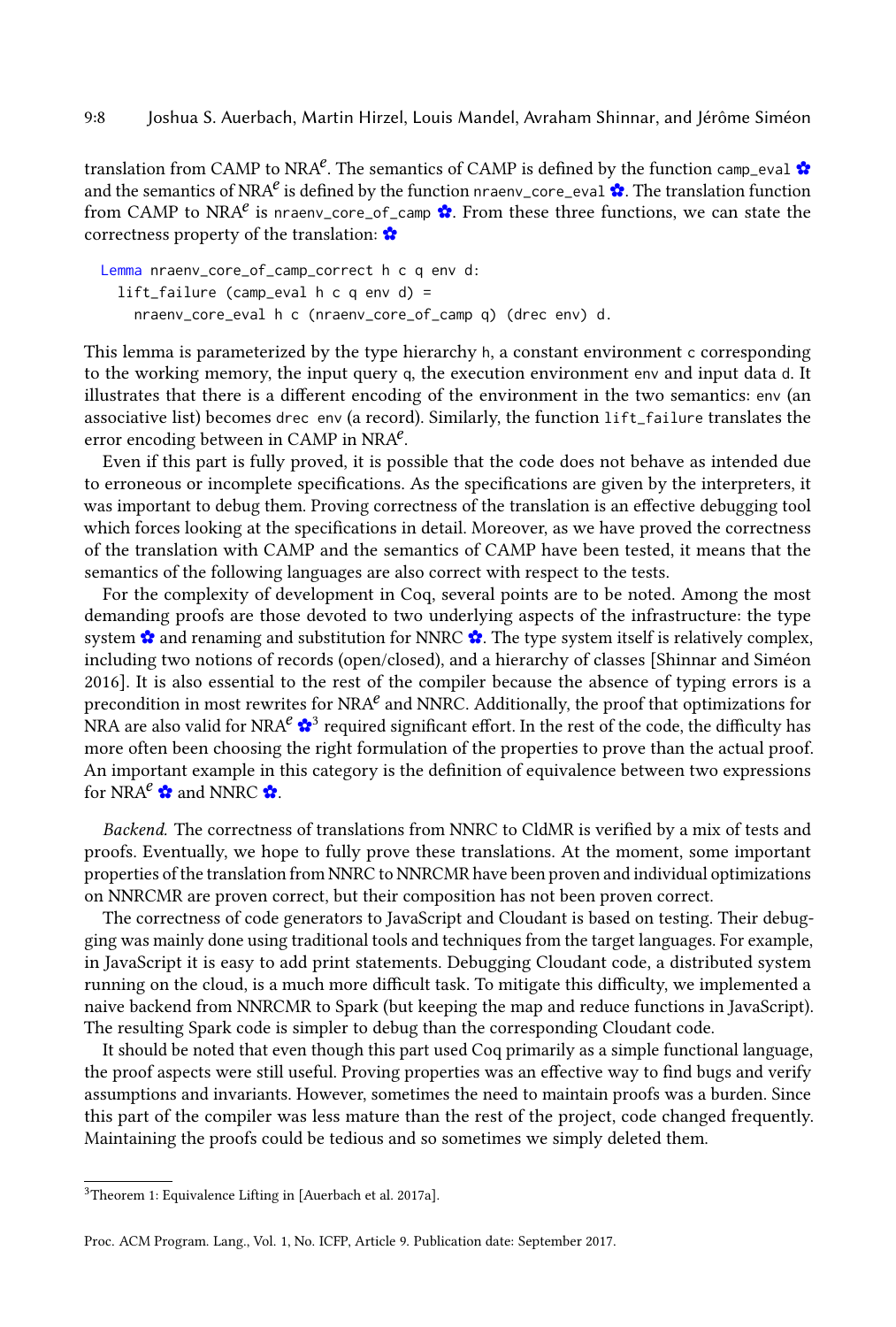translation from CAMP to NRA<sup>e</sup>. The semantics of CAMP is defined by the function camp\_eval [✿](https://querycert.github.io/icfp17/doc/CAMP.html#camp_eval) and the semantics of NRA<sup>e</sup> is defined by the function nraenv\_core\_eval  $\mathbf{\hat{B}}$ . The translation function from CAMP to NRA<sup>e</sup> is nraenv\_core\_of\_camp  $\bullet$ . From these three functions, we can state the correctness property of the translation: [✿](https://querycert.github.io/icfp17/doc/CAMPtocNRAEnv.html#nraenv_core_of_camp_correct)

```
Lemma nraenv_core_of_camp_correct h c q env d:
  lift_failure (camp_eval h c q e n v d) =
    nraenv_core_eval h c (nraenv_core_of_camp q) (drec env) d.
```
This lemma is parameterized by the type hierarchy h, a constant environment c corresponding to the working memory, the input query q, the execution environment env and input data d. It illustrates that there is a different encoding of the environment in the two semantics: env (an associative list) becomes drec env (a record). Similarly, the function lift\_failure translates the error encoding between in CAMP in NRA $e$ .

Even if this part is fully proved, it is possible that the code does not behave as intended due to erroneous or incomplete specifications. As the specifications are given by the interpreters, it was important to debug them. Proving correctness of the translation is an effective debugging tool which forces looking at the specifications in detail. Moreover, as we have proved the correctness of the translation with CAMP and the semantics of CAMP have been tested, it means that the semantics of the following languages are also correct with respect to the tests.

For the complexity of development in Coq, several points are to be noted. Among the most demanding proofs are those devoted to two underlying aspects of the infrastructure: the type system  $\mathbf{\hat{x}}$  and renaming and substitution for NNRC  $\mathbf{\hat{x}}$ . The type system itself is relatively complex, including two notions of records (open/closed), and a hierarchy of classes [\[Shinnar and Siméon](#page-14-9) [2016\]](#page-14-9). It is also essential to the rest of the compiler because the absence of typing errors is a precondition in most rewrites for NRA $^e$  and NNRC. Additionally, the proof that optimizations for NRA are also valid for NRA $^e$   $\clubsuit^3$  $\clubsuit^3$  required significant effort. In the rest of the code, the difficulty has more often been choosing the right formulation of the properties to prove than the actual proof. An important example in this category is the definition of equivalence between two expressions for NRA $^e \, \mathbf{\hat{x}}$  and NNRC  $\mathbf{\hat{x}}$ .

Backend. The correctness of translations from NNRC to CldMR is verified by a mix of tests and proofs. Eventually, we hope to fully prove these translations. At the moment, some important properties of the translation from NNRC to NNRCMR have been proven and individual optimizations on NNRCMR are proven correct, but their composition has not been proven correct.

The correctness of code generators to JavaScript and Cloudant is based on testing. Their debugging was mainly done using traditional tools and techniques from the target languages. For example, in JavaScript it is easy to add print statements. Debugging Cloudant code, a distributed system running on the cloud, is a much more difficult task. To mitigate this difficulty, we implemented a naive backend from NNRCMR to Spark (but keeping the map and reduce functions in JavaScript). The resulting Spark code is simpler to debug than the corresponding Cloudant code.

It should be noted that even though this part used Coq primarily as a simple functional language, the proof aspects were still useful. Proving properties was an effective way to find bugs and verify assumptions and invariants. However, sometimes the need to maintain proofs was a burden. Since this part of the compiler was less mature than the rest of the project, code changed frequently. Maintaining the proofs could be tedious and so sometimes we simply deleted them.

<span id="page-7-0"></span><sup>3</sup>Theorem 1: Equivalence Lifting in [\[Auerbach et al.](#page-13-4) [2017a\]](#page-13-4).

Proc. ACM Program. Lang., Vol. 1, No. ICFP, Article 9. Publication date: September 2017.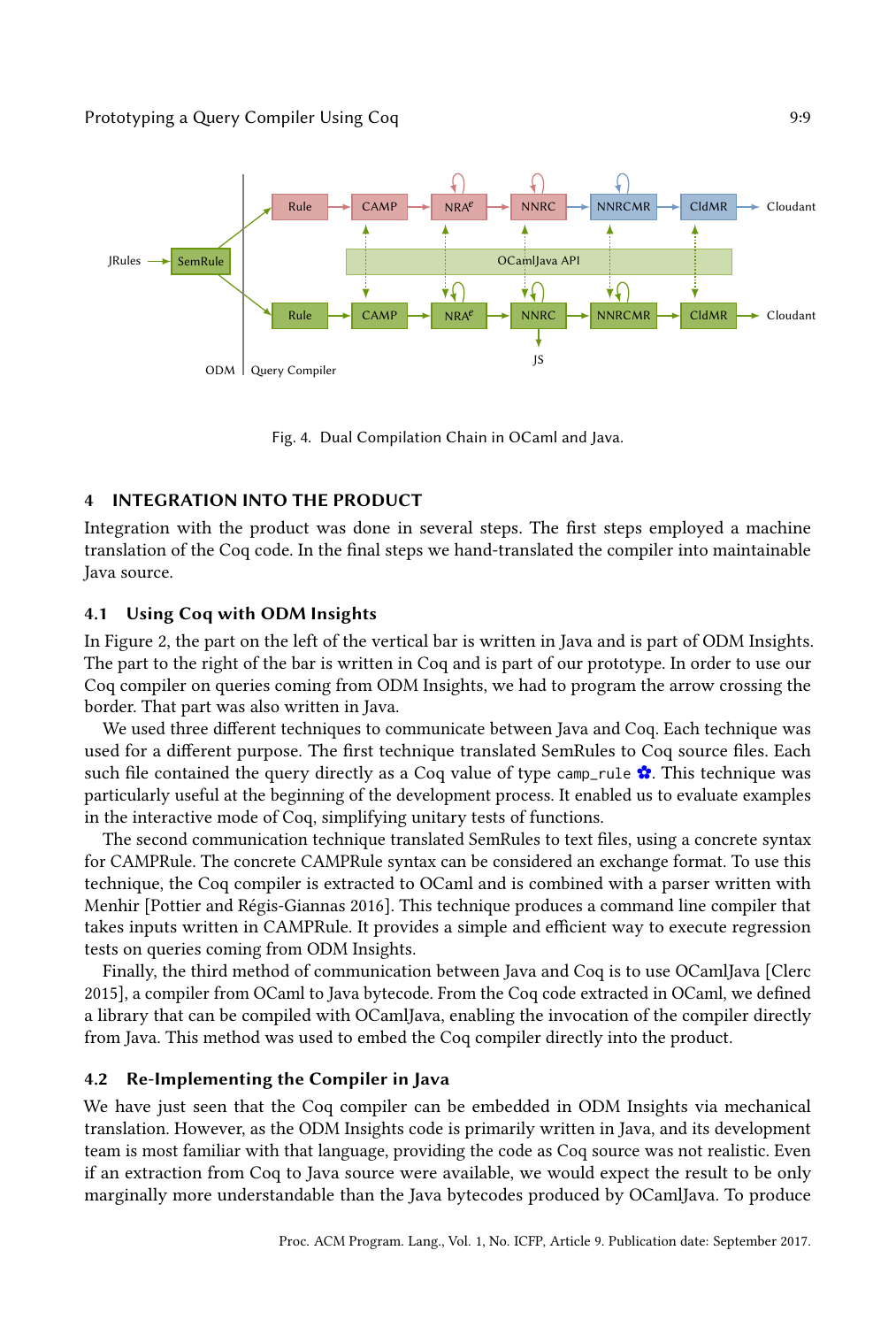<span id="page-8-1"></span>

Fig. 4. Dual Compilation Chain in OCaml and Java.

## <span id="page-8-0"></span>INTEGRATION INTO THE PRODUCT

Integration with the product was done in several steps. The first steps employed a machine translation of the Coq code. In the final steps we hand-translated the compiler into maintainable Java source.

## 4.1 Using Coq with ODM Insights

In Figure [2,](#page-3-0) the part on the left of the vertical bar is written in Java and is part of ODM Insights. The part to the right of the bar is written in Coq and is part of our prototype. In order to use our Coq compiler on queries coming from ODM Insights, we had to program the arrow crossing the border. That part was also written in Java.

We used three different techniques to communicate between Java and Coq. Each technique was used for a different purpose. The first technique translated SemRules to Coq source files. Each such file contained the query directly as a Coq value of type camp\_rule  $\hat{\mathbf{x}}$ . This technique was particularly useful at the beginning of the development process. It enabled us to evaluate examples in the interactive mode of Coq, simplifying unitary tests of functions.

The second communication technique translated SemRules to text files, using a concrete syntax for CAMPRule. The concrete CAMPRule syntax can be considered an exchange format. To use this technique, the Coq compiler is extracted to OCaml and is combined with a parser written with Menhir [\[Pottier and Régis-Giannas](#page-14-17) [2016\]](#page-14-17). This technique produces a command line compiler that takes inputs written in CAMPRule. It provides a simple and efficient way to execute regression tests on queries coming from ODM Insights.

Finally, the third method of communication between Java and Coq is to use OCamlJava [\[Clerc](#page-13-6) [2015\]](#page-13-6), a compiler from OCaml to Java bytecode. From the Coq code extracted in OCaml, we defined a library that can be compiled with OCamlJava, enabling the invocation of the compiler directly from Java. This method was used to embed the Coq compiler directly into the product.

## 4.2 Re-Implementing the Compiler in Java

We have just seen that the Coq compiler can be embedded in ODM Insights via mechanical translation. However, as the ODM Insights code is primarily written in Java, and its development team is most familiar with that language, providing the code as Coq source was not realistic. Even if an extraction from Coq to Java source were available, we would expect the result to be only marginally more understandable than the Java bytecodes produced by OCamlJava. To produce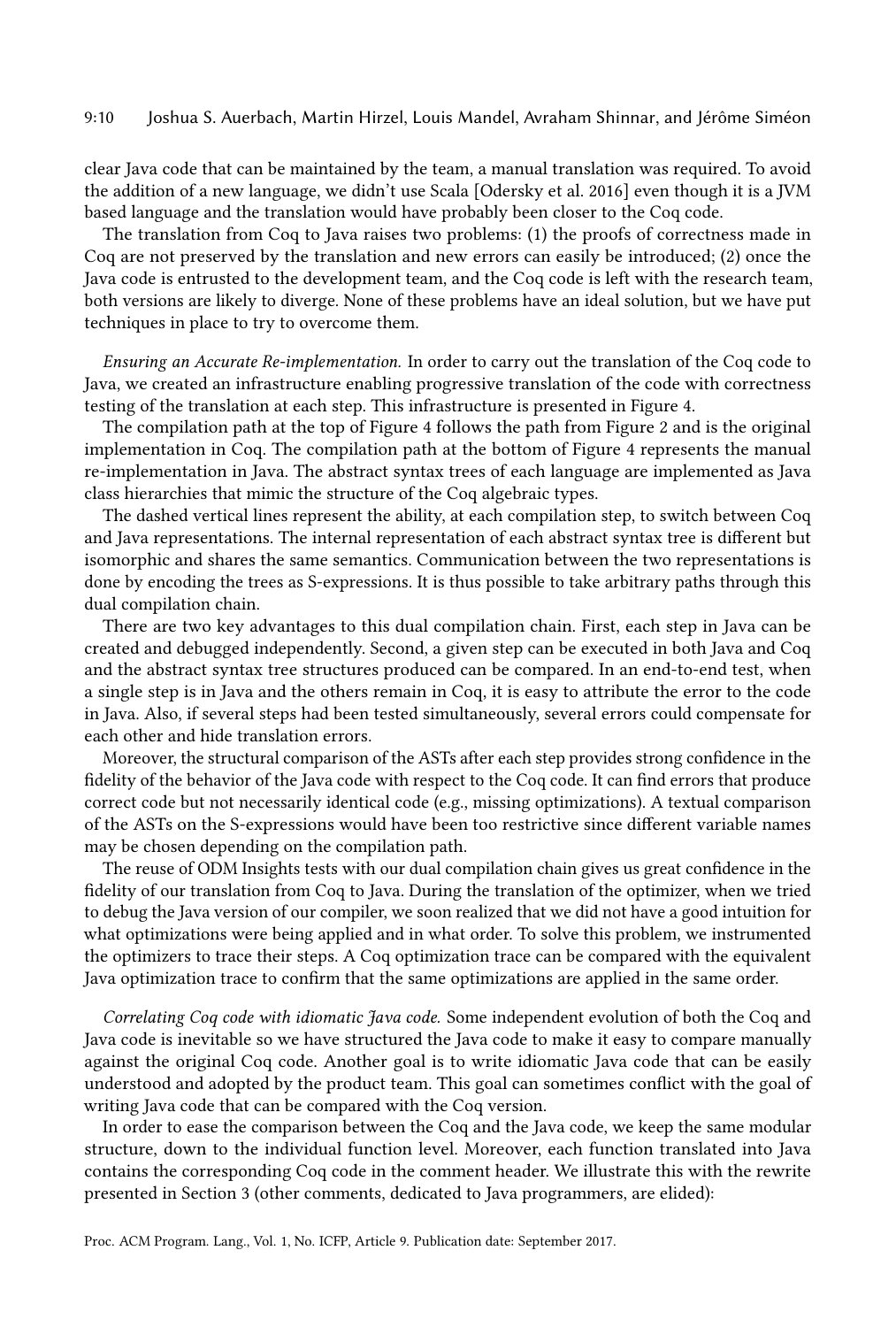#### 9:10 Joshua S. Auerbach, Martin Hirzel, Louis Mandel, Avraham Shinnar, and Jérôme Siméon

clear Java code that can be maintained by the team, a manual translation was required. To avoid the addition of a new language, we didn't use Scala [\[Odersky et al.](#page-14-18) [2016\]](#page-14-18) even though it is a JVM based language and the translation would have probably been closer to the Coq code.

The translation from Coq to Java raises two problems: (1) the proofs of correctness made in Coq are not preserved by the translation and new errors can easily be introduced; (2) once the Java code is entrusted to the development team, and the Coq code is left with the research team, both versions are likely to diverge. None of these problems have an ideal solution, but we have put techniques in place to try to overcome them.

Ensuring an Accurate Re-implementation. In order to carry out the translation of the Coq code to Java, we created an infrastructure enabling progressive translation of the code with correctness testing of the translation at each step. This infrastructure is presented in Figure [4.](#page-8-1)

The compilation path at the top of Figure [4](#page-8-1) follows the path from Figure [2](#page-3-0) and is the original implementation in Coq. The compilation path at the bottom of Figure [4](#page-8-1) represents the manual re-implementation in Java. The abstract syntax trees of each language are implemented as Java class hierarchies that mimic the structure of the Coq algebraic types.

The dashed vertical lines represent the ability, at each compilation step, to switch between Coq and Java representations. The internal representation of each abstract syntax tree is different but isomorphic and shares the same semantics. Communication between the two representations is done by encoding the trees as S-expressions. It is thus possible to take arbitrary paths through this dual compilation chain.

There are two key advantages to this dual compilation chain. First, each step in Java can be created and debugged independently. Second, a given step can be executed in both Java and Coq and the abstract syntax tree structures produced can be compared. In an end-to-end test, when a single step is in Java and the others remain in Coq, it is easy to attribute the error to the code in Java. Also, if several steps had been tested simultaneously, several errors could compensate for each other and hide translation errors.

Moreover, the structural comparison of the ASTs after each step provides strong confidence in the fidelity of the behavior of the Java code with respect to the Coq code. It can find errors that produce correct code but not necessarily identical code (e.g., missing optimizations). A textual comparison of the ASTs on the S-expressions would have been too restrictive since different variable names may be chosen depending on the compilation path.

The reuse of ODM Insights tests with our dual compilation chain gives us great confidence in the fidelity of our translation from Coq to Java. During the translation of the optimizer, when we tried to debug the Java version of our compiler, we soon realized that we did not have a good intuition for what optimizations were being applied and in what order. To solve this problem, we instrumented the optimizers to trace their steps. A Coq optimization trace can be compared with the equivalent Java optimization trace to confirm that the same optimizations are applied in the same order.

Correlating Coq code with idiomatic Java code. Some independent evolution of both the Coq and Java code is inevitable so we have structured the Java code to make it easy to compare manually against the original Coq code. Another goal is to write idiomatic Java code that can be easily understood and adopted by the product team. This goal can sometimes conflict with the goal of writing Java code that can be compared with the Coq version.

In order to ease the comparison between the Coq and the Java code, we keep the same modular structure, down to the individual function level. Moreover, each function translated into Java contains the corresponding Coq code in the comment header. We illustrate this with the rewrite presented in Section [3](#page-5-0) (other comments, dedicated to Java programmers, are elided):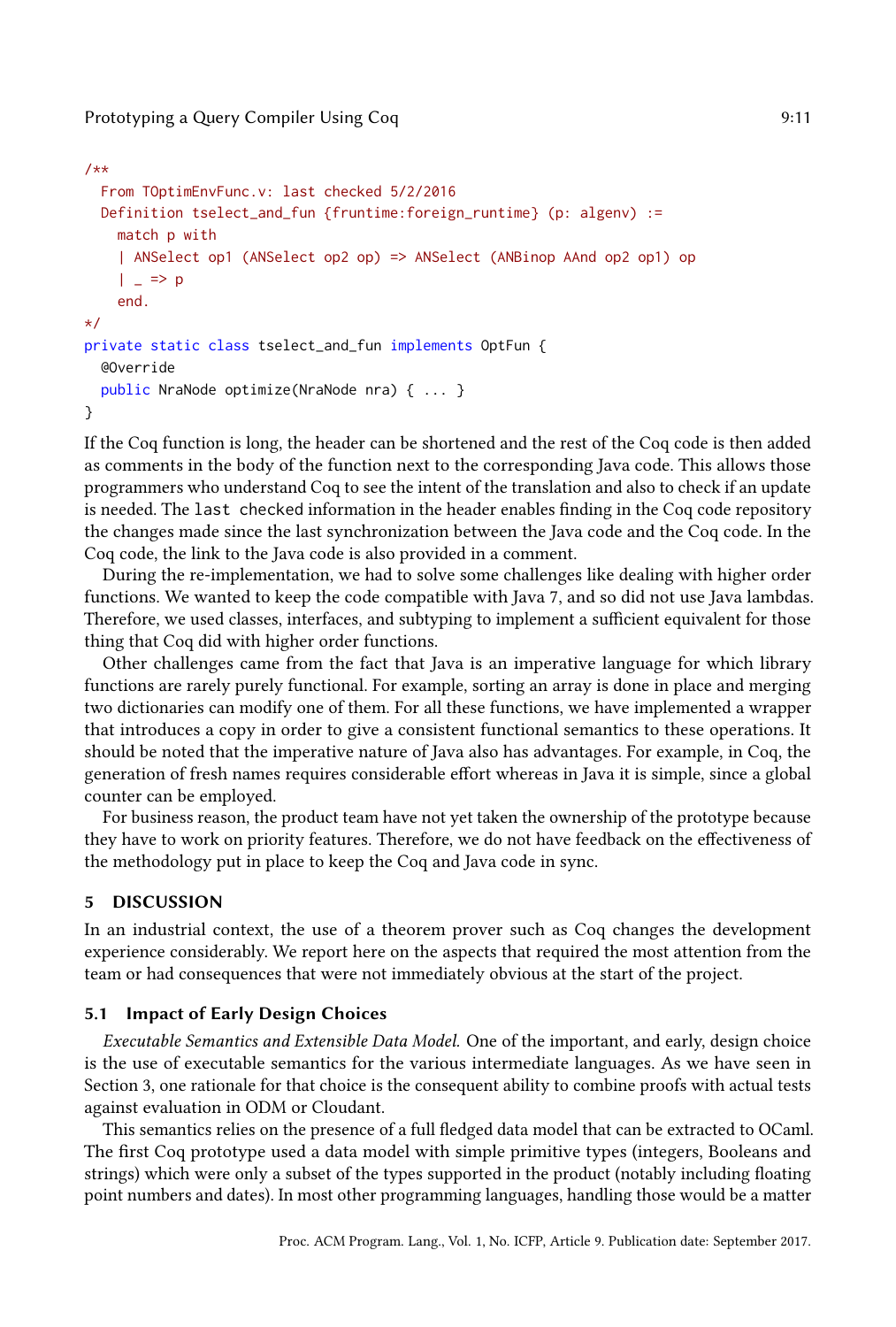### Prototyping a Query Compiler Using Coq **9:11** 9:11

```
/**
  From TOptimEnvFunc.v: last checked 5/2/2016
 Definition tselect_and_fun {fruntime:foreign_runtime} (p: algenv) :=
    match p with
    | ANSelect op1 (ANSelect op2 op) => ANSelect (ANBinop AAnd op2 op1) op
    | \_ => p
    end.
*/
private static class tselect_and_fun implements OptFun {
  @Override
  public NraNode optimize(NraNode nra) { ... }
}
```
If the Coq function is long, the header can be shortened and the rest of the Coq code is then added as comments in the body of the function next to the corresponding Java code. This allows those programmers who understand Coq to see the intent of the translation and also to check if an update is needed. The last checked information in the header enables finding in the Coq code repository the changes made since the last synchronization between the Java code and the Coq code. In the Coq code, the link to the Java code is also provided in a comment.

During the re-implementation, we had to solve some challenges like dealing with higher order functions. We wanted to keep the code compatible with Java 7, and so did not use Java lambdas. Therefore, we used classes, interfaces, and subtyping to implement a sufficient equivalent for those thing that Coq did with higher order functions.

Other challenges came from the fact that Java is an imperative language for which library functions are rarely purely functional. For example, sorting an array is done in place and merging two dictionaries can modify one of them. For all these functions, we have implemented a wrapper that introduces a copy in order to give a consistent functional semantics to these operations. It should be noted that the imperative nature of Java also has advantages. For example, in Coq, the generation of fresh names requires considerable effort whereas in Java it is simple, since a global counter can be employed.

For business reason, the product team have not yet taken the ownership of the prototype because they have to work on priority features. Therefore, we do not have feedback on the effectiveness of the methodology put in place to keep the Coq and Java code in sync.

#### <span id="page-10-0"></span>5 DISCUSSION

In an industrial context, the use of a theorem prover such as Coq changes the development experience considerably. We report here on the aspects that required the most attention from the team or had consequences that were not immediately obvious at the start of the project.

#### 5.1 Impact of Early Design Choices

Executable Semantics and Extensible Data Model. One of the important, and early, design choice is the use of executable semantics for the various intermediate languages. As we have seen in Section [3,](#page-5-0) one rationale for that choice is the consequent ability to combine proofs with actual tests against evaluation in ODM or Cloudant.

This semantics relies on the presence of a full fledged data model that can be extracted to OCaml. The first Coq prototype used a data model with simple primitive types (integers, Booleans and strings) which were only a subset of the types supported in the product (notably including floating point numbers and dates). In most other programming languages, handling those would be a matter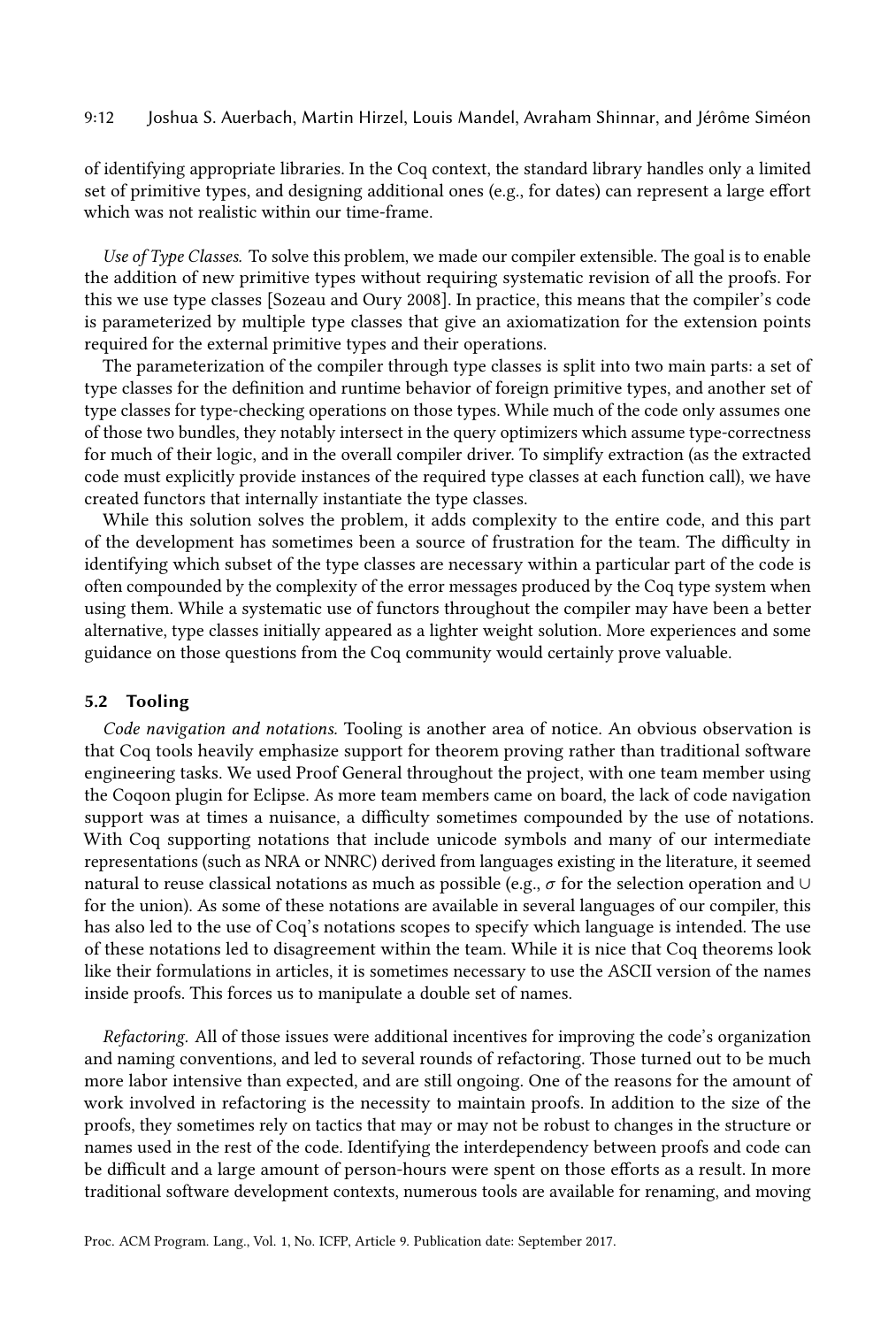#### 9:12 Joshua S. Auerbach, Martin Hirzel, Louis Mandel, Avraham Shinnar, and Jérôme Siméon

of identifying appropriate libraries. In the Coq context, the standard library handles only a limited set of primitive types, and designing additional ones (e.g., for dates) can represent a large effort which was not realistic within our time-frame.

Use of Type Classes. To solve this problem, we made our compiler extensible. The goal is to enable the addition of new primitive types without requiring systematic revision of all the proofs. For this we use type classes [\[Sozeau and Oury](#page-14-19) [2008\]](#page-14-19). In practice, this means that the compiler's code is parameterized by multiple type classes that give an axiomatization for the extension points required for the external primitive types and their operations.

The parameterization of the compiler through type classes is split into two main parts: a set of type classes for the definition and runtime behavior of foreign primitive types, and another set of type classes for type-checking operations on those types. While much of the code only assumes one of those two bundles, they notably intersect in the query optimizers which assume type-correctness for much of their logic, and in the overall compiler driver. To simplify extraction (as the extracted code must explicitly provide instances of the required type classes at each function call), we have created functors that internally instantiate the type classes.

While this solution solves the problem, it adds complexity to the entire code, and this part of the development has sometimes been a source of frustration for the team. The difficulty in identifying which subset of the type classes are necessary within a particular part of the code is often compounded by the complexity of the error messages produced by the Coq type system when using them. While a systematic use of functors throughout the compiler may have been a better alternative, type classes initially appeared as a lighter weight solution. More experiences and some guidance on those questions from the Coq community would certainly prove valuable.

#### 5.2 Tooling

Code navigation and notations. Tooling is another area of notice. An obvious observation is that Coq tools heavily emphasize support for theorem proving rather than traditional software engineering tasks. We used Proof General throughout the project, with one team member using the Coqoon plugin for Eclipse. As more team members came on board, the lack of code navigation support was at times a nuisance, a difficulty sometimes compounded by the use of notations. With Coq supporting notations that include unicode symbols and many of our intermediate representations (such as NRA or NNRC) derived from languages existing in the literature, it seemed natural to reuse classical notations as much as possible (e.g.,  $\sigma$  for the selection operation and ∪ for the union). As some of these notations are available in several languages of our compiler, this has also led to the use of Coq's notations scopes to specify which language is intended. The use of these notations led to disagreement within the team. While it is nice that Coq theorems look like their formulations in articles, it is sometimes necessary to use the ASCII version of the names inside proofs. This forces us to manipulate a double set of names.

Refactoring. All of those issues were additional incentives for improving the code's organization and naming conventions, and led to several rounds of refactoring. Those turned out to be much more labor intensive than expected, and are still ongoing. One of the reasons for the amount of work involved in refactoring is the necessity to maintain proofs. In addition to the size of the proofs, they sometimes rely on tactics that may or may not be robust to changes in the structure or names used in the rest of the code. Identifying the interdependency between proofs and code can be difficult and a large amount of person-hours were spent on those efforts as a result. In more traditional software development contexts, numerous tools are available for renaming, and moving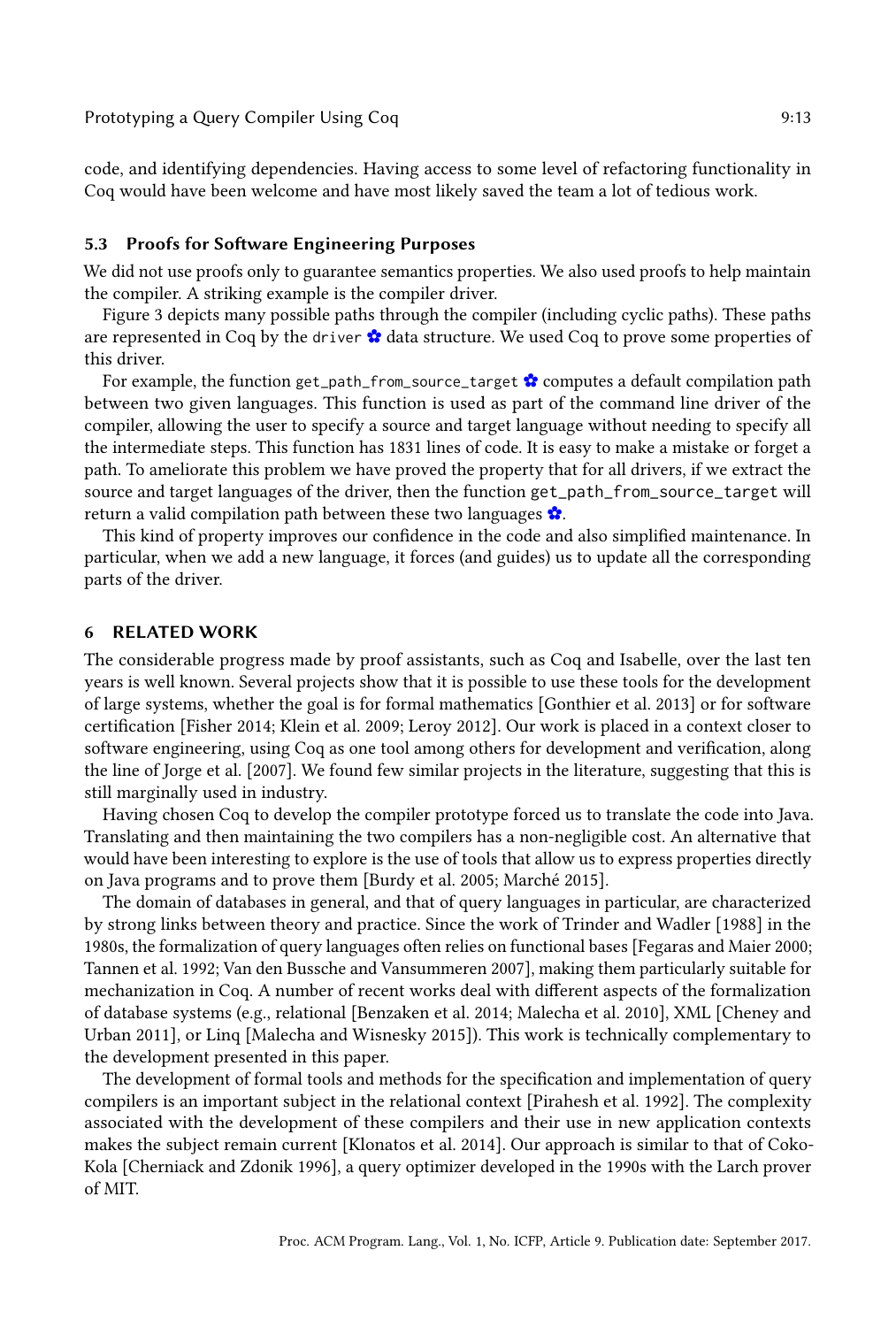code, and identifying dependencies. Having access to some level of refactoring functionality in Coq would have been welcome and have most likely saved the team a lot of tedious work.

#### 5.3 Proofs for Software Engineering Purposes

We did not use proofs only to guarantee semantics properties. We also used proofs to help maintain the compiler. A striking example is the compiler driver.

Figure [3](#page-5-1) depicts many possible paths through the compiler (including cyclic paths). These paths are represented in Coq by the driver  $\bullet$  data structure. We used Coq to prove some properties of this driver.

For example, the function get\_path\_from\_source\_target  $\bullet$  computes a default compilation path between two given languages. This function is used as part of the command line driver of the compiler, allowing the user to specify a source and target language without needing to specify all the intermediate steps. This function has 1831 lines of code. It is easy to make a mistake or forget a path. To ameliorate this problem we have proved the property that for all drivers, if we extract the source and target languages of the driver, then the function get\_path\_from\_source\_target will return a valid compilation path between these two languages [✿](https://querycert.github.io/icfp17/doc/CompDriver.html#get_path_from_source_target_completeness).

This kind of property improves our confidence in the code and also simplified maintenance. In particular, when we add a new language, it forces (and guides) us to update all the corresponding parts of the driver.

#### <span id="page-12-0"></span>6 RELATED WORK

The considerable progress made by proof assistants, such as Coq and Isabelle, over the last ten years is well known. Several projects show that it is possible to use these tools for the development of large systems, whether the goal is for formal mathematics [\[Gonthier et al.](#page-14-20) [2013\]](#page-14-20) or for software certification [\[Fisher](#page-14-21) [2014;](#page-14-21) [Klein et al.](#page-14-22) [2009;](#page-14-22) [Leroy](#page-14-23) [2012\]](#page-14-23). Our work is placed in a context closer to software engineering, using Coq as one tool among others for development and verification, along the line of [Jorge et al.](#page-14-24) [\[2007\]](#page-14-24). We found few similar projects in the literature, suggesting that this is still marginally used in industry.

Having chosen Coq to develop the compiler prototype forced us to translate the code into Java. Translating and then maintaining the two compilers has a non-negligible cost. An alternative that would have been interesting to explore is the use of tools that allow us to express properties directly on Java programs and to prove them [\[Burdy et al.](#page-13-7) [2005;](#page-13-7) [Marché](#page-14-25) [2015\]](#page-14-25).

The domain of databases in general, and that of query languages in particular, are characterized by strong links between theory and practice. Since the work of [Trinder and Wadler](#page-14-8) [\[1988\]](#page-14-8) in the 1980s, the formalization of query languages often relies on functional bases [\[Fegaras and Maier](#page-14-26) [2000;](#page-14-26) [Tannen et al.](#page-14-7) [1992;](#page-14-7) [Van den Bussche and Vansummeren](#page-14-14) [2007\]](#page-14-14), making them particularly suitable for mechanization in Coq. A number of recent works deal with different aspects of the formalization of database systems (e.g., relational [\[Benzaken et al.](#page-13-1) [2014;](#page-13-1) [Malecha et al.](#page-14-4) [2010\]](#page-14-4), XML [\[Cheney and](#page-13-8) [Urban](#page-13-8) [2011\]](#page-13-8), or Linq [\[Malecha and Wisnesky](#page-14-27) [2015\]](#page-14-27)). This work is technically complementary to the development presented in this paper.

The development of formal tools and methods for the specification and implementation of query compilers is an important subject in the relational context [\[Pirahesh et al.](#page-14-28) [1992\]](#page-14-28). The complexity associated with the development of these compilers and their use in new application contexts makes the subject remain current [\[Klonatos et al.](#page-14-29) [2014\]](#page-14-29). Our approach is similar to that of Coko-Kola [\[Cherniack and Zdonik](#page-13-9) [1996\]](#page-13-9), a query optimizer developed in the 1990s with the Larch prover of MIT.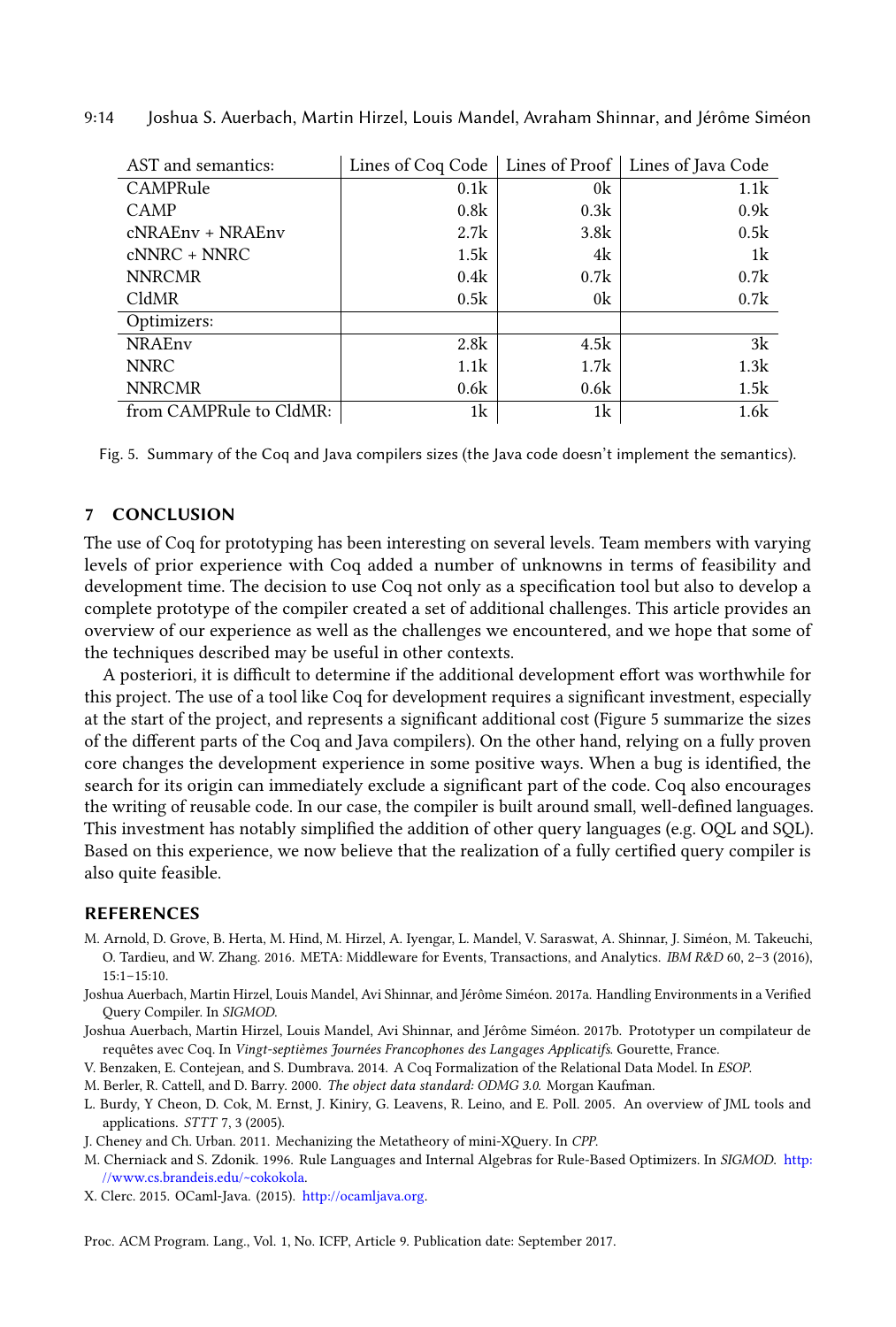<span id="page-13-10"></span>

| AST and semantics:      |      |                | Lines of Coq Code   Lines of Proof   Lines of Java Code |
|-------------------------|------|----------------|---------------------------------------------------------|
| CAMPRule                | 0.1k | 0 <sup>k</sup> | 1.1k                                                    |
| CAMP                    | 0.8k | 0.3k           | 0.9k                                                    |
| cNRAEnv + NRAEnv        | 2.7k | 3.8k           | 0.5k                                                    |
| $cNNRC + NNRC$          | 1.5k | 4k             | 1k                                                      |
| <b>NNRCMR</b>           | 0.4k | 0.7k           | 0.7k                                                    |
| CldMR                   | 0.5k | 0 <sup>k</sup> | 0.7k                                                    |
| Optimizers:             |      |                |                                                         |
| <b>NRAEnv</b>           | 2.8k | 4.5k           | 3k                                                      |
| <b>NNRC</b>             | 1.1k | 1.7k           | 1.3k                                                    |
| <b>NNRCMR</b>           | 0.6k | 0.6k           | 1.5k                                                    |
| from CAMPRule to CldMR: | 1k   | 1k             | 1.6k                                                    |

9:14 Joshua S. Auerbach, Martin Hirzel, Louis Mandel, Avraham Shinnar, and Jérôme Siméon

Fig. 5. Summary of the Coq and Java compilers sizes (the Java code doesn't implement the semantics).

#### <span id="page-13-2"></span>7 CONCLUSION

The use of Coq for prototyping has been interesting on several levels. Team members with varying levels of prior experience with Coq added a number of unknowns in terms of feasibility and development time. The decision to use Coq not only as a specification tool but also to develop a complete prototype of the compiler created a set of additional challenges. This article provides an overview of our experience as well as the challenges we encountered, and we hope that some of the techniques described may be useful in other contexts.

A posteriori, it is difficult to determine if the additional development effort was worthwhile for this project. The use of a tool like Coq for development requires a significant investment, especially at the start of the project, and represents a significant additional cost (Figure [5](#page-13-10) summarize the sizes of the different parts of the Coq and Java compilers). On the other hand, relying on a fully proven core changes the development experience in some positive ways. When a bug is identified, the search for its origin can immediately exclude a significant part of the code. Coq also encourages the writing of reusable code. In our case, the compiler is built around small, well-defined languages. This investment has notably simplified the addition of other query languages (e.g. OQL and SQL). Based on this experience, we now believe that the realization of a fully certified query compiler is also quite feasible.

#### REFERENCES

- <span id="page-13-3"></span>M. Arnold, D. Grove, B. Herta, M. Hind, M. Hirzel, A. Iyengar, L. Mandel, V. Saraswat, A. Shinnar, J. Siméon, M. Takeuchi, O. Tardieu, and W. Zhang. 2016. META: Middleware for Events, Transactions, and Analytics. IBM R&D 60, 2–3 (2016), 15:1–15:10.
- <span id="page-13-4"></span>Joshua Auerbach, Martin Hirzel, Louis Mandel, Avi Shinnar, and Jérôme Siméon. 2017a. Handling Environments in a Verified Query Compiler. In SIGMOD.
- <span id="page-13-0"></span>Joshua Auerbach, Martin Hirzel, Louis Mandel, Avi Shinnar, and Jérôme Siméon. 2017b. Prototyper un compilateur de requêtes avec Coq. In Vingt-septièmes Journées Francophones des Langages Applicatifs. Gourette, France.
- <span id="page-13-1"></span>V. Benzaken, E. Contejean, and S. Dumbrava. 2014. A Coq Formalization of the Relational Data Model. In ESOP.

<span id="page-13-5"></span>M. Berler, R. Cattell, and D. Barry. 2000. The object data standard: ODMG 3.0. Morgan Kaufman.

- <span id="page-13-7"></span>L. Burdy, Y Cheon, D. Cok, M. Ernst, J. Kiniry, G. Leavens, R. Leino, and E. Poll. 2005. An overview of JML tools and applications. STTT 7, 3 (2005).
- <span id="page-13-8"></span>J. Cheney and Ch. Urban. 2011. Mechanizing the Metatheory of mini-XQuery. In CPP.
- <span id="page-13-9"></span>M. Cherniack and S. Zdonik. 1996. Rule Languages and Internal Algebras for Rule-Based Optimizers. In SIGMOD. [http:](http://www.cs.brandeis.edu/~cokokola) [//www.cs.brandeis.edu/~cokokola.](http://www.cs.brandeis.edu/~cokokola)
- <span id="page-13-6"></span>X. Clerc. 2015. OCaml-Java. (2015). [http://ocamljava.org.](http://ocamljava.org)

Proc. ACM Program. Lang., Vol. 1, No. ICFP, Article 9. Publication date: September 2017.